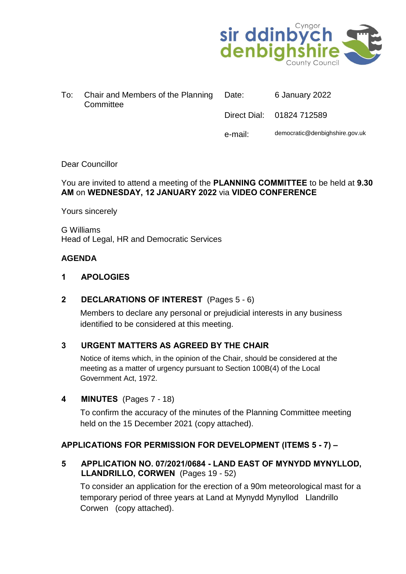

| To: Chair and Members of the Planning Date:<br>Committee | 6 January 2022            |
|----------------------------------------------------------|---------------------------|
|                                                          | Direct Dial: 01824 712589 |

e-mail: democratic@denbighshire.gov.uk

#### Dear Councillor

## You are invited to attend a meeting of the **PLANNING COMMITTEE** to be held at **9.30 AM** on **WEDNESDAY, 12 JANUARY 2022** via **VIDEO CONFERENCE**

Yours sincerely

G Williams Head of Legal, HR and Democratic Services

## **AGENDA**

#### **1 APOLOGIES**

#### **2 DECLARATIONS OF INTEREST** (Pages 5 - 6)

Members to declare any personal or prejudicial interests in any business identified to be considered at this meeting.

# **3 URGENT MATTERS AS AGREED BY THE CHAIR**

Notice of items which, in the opinion of the Chair, should be considered at the meeting as a matter of urgency pursuant to Section 100B(4) of the Local Government Act, 1972.

#### **4 MINUTES** (Pages 7 - 18)

To confirm the accuracy of the minutes of the Planning Committee meeting held on the 15 December 2021 (copy attached).

#### **APPLICATIONS FOR PERMISSION FOR DEVELOPMENT (ITEMS 5 - 7) –**

**5 APPLICATION NO. 07/2021/0684 - LAND EAST OF MYNYDD MYNYLLOD, LLANDRILLO, CORWEN** (Pages 19 - 52)

To consider an application for the erection of a 90m meteorological mast for a temporary period of three years at Land at Mynydd Mynyllod Llandrillo Corwen (copy attached).